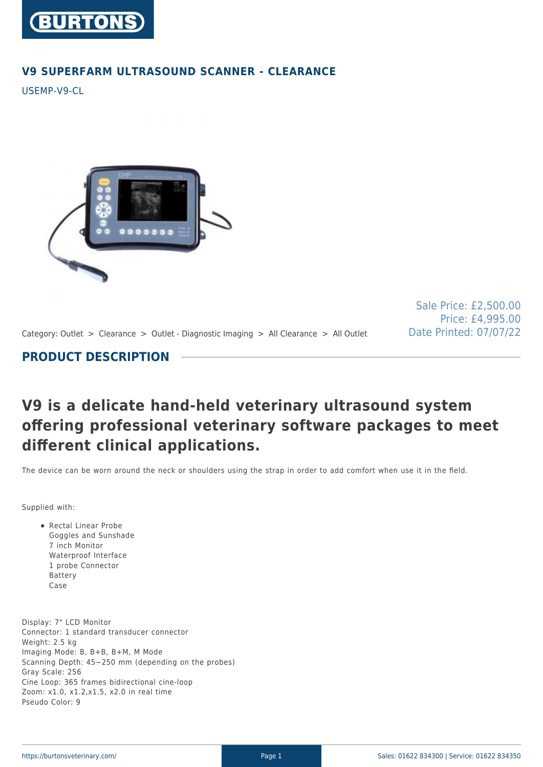

### **V9 SUPERFARM ULTRASOUND SCANNER - CLEARANCE**

USEMP-V9-CL



Sale Price: £2,500.00 Price: £4,995.00 Date Printed: 07/07/22

Category: Outlet > Clearance > Outlet - Diagnostic Imaging > All Clearance > All Outlet

## **PRODUCT DESCRIPTION**

# **V9 is a delicate hand-held veterinary ultrasound system offering professional veterinary software packages to meet different clinical applications.**

The device can be worn around the neck or shoulders using the strap in order to add comfort when use it in the field.

Supplied with:

Rectal Linear Probe Goggles and Sunshade 7 inch Monitor Waterproof Interface 1 probe Connector Battery Case

Display: 7" LCD Monitor Connector: 1 standard transducer connector Weight: 2.5 kg Imaging Mode: B, B+B, B+M, M Mode Scanning Depth: 45~250 mm (depending on the probes) Gray Scale: 256 Cine Loop: 365 frames bidirectional cine-loop Zoom: x1.0, x1.2,x1.5, x2.0 in real time Pseudo Color: 9